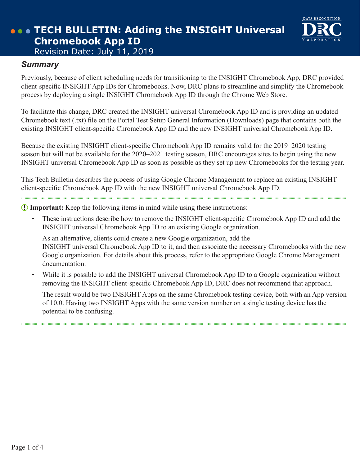

### *Summary*

Previously, because of client scheduling needs for transitioning to the INSIGHT Chromebook App, DRC provided client‑specific INSIGHT App IDs for Chromebooks. Now, DRC plans to streamline and simplify the Chromebook process by deploying a single INSIGHT Chromebook App ID through the Chrome Web Store.

To facilitate this change, DRC created the INSIGHT universal Chromebook App ID and is providing an updated Chromebook text (.txt) file on the Portal Test Setup General Information (Downloads) page that contains both the existing INSIGHT client‑specific Chromebook App ID and the new INSIGHT universal Chromebook App ID.

Because the existing INSIGHT client-specific Chromebook App ID remains valid for the 2019–2020 testing season but will not be available for the 2020–2021 testing season, DRC encourages sites to begin using the new INSIGHT universal Chromebook App ID as soon as possible as they set up new Chromebooks for the testing year.

This Tech Bulletin describes the process of using Google Chrome Management to replace an existing INSIGHT client‑specific Chromebook App ID with the new INSIGHT universal Chromebook App ID.

 **Important:** Keep the following items in mind while using these instructions:

These instructions describe how to remove the INSIGHT client-specific Chromebook App ID and add the INSIGHT universal Chromebook App ID to an existing Google organization.

As an alternative, clients could create a new Google organization, add the INSIGHT universal Chromebook App ID to it, and then associate the necessary Chromebooks with the new Google organization. For details about this process, refer to the appropriate Google Chrome Management documentation.

While it is possible to add the INSIGHT universal Chromebook App ID to a Google organization without removing the INSIGHT client-specific Chromebook App ID, DRC does not recommend that approach.

The result would be two INSIGHT Apps on the same Chromebook testing device, both with an App version of 10.0. Having two INSIGHT Apps with the same version number on a single testing device has the potential to be confusing.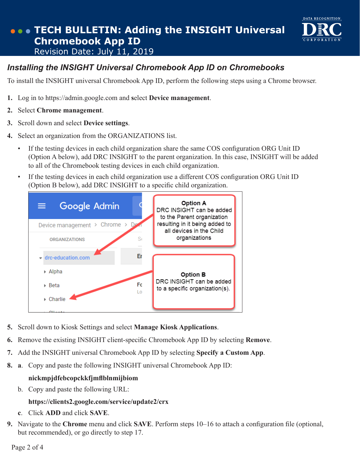

To install the INSIGHT universal Chromebook App ID, perform the following steps using a Chrome browser.

DATA RECOGNITION

- **1.** Log in to https://admin.google.com and **s**elect **Device management**.
- **2.** Select **Chrome management**.
- **3.** Scroll down and select **Device settings**.
- **4.** Select an organization from the ORGANIZATIONS list.
	- If the testing devices in each child organization share the same COS configuration ORG Unit ID (Option A below), add DRC INSIGHT to the parent organization. In this case, INSIGHT will be added to all of the Chromebook testing devices in each child organization.
	- If the testing devices in each child organization use a different COS configuration ORG Unit ID (Option B below), add DRC INSIGHT to a specific child organization.



- **5.** Scroll down to Kiosk Settings and select **Manage Kiosk Applications**.
- **6.** Remove the existing INSIGHT client-specific Chromebook App ID by selecting **Remove**.
- **7.** Add the INSIGHT universal Chromebook App ID by selecting **Specify a Custom App**.
- **8. a**. Copy and paste the following INSIGHT universal Chromebook App ID:

#### **nickmpjdfebcopckkfjmflblnmijbiom**

b. Copy and paste the following URL:

#### **https://clients2.google.com/service/update2/crx**

- **c**. Click **ADD** and click **SAVE**.
- **9.** Navigate to the **Chrome** menu and click **SAVE**. Perform steps 10–16 to attach a configuration file (optional, but recommended), or go directly to step 17.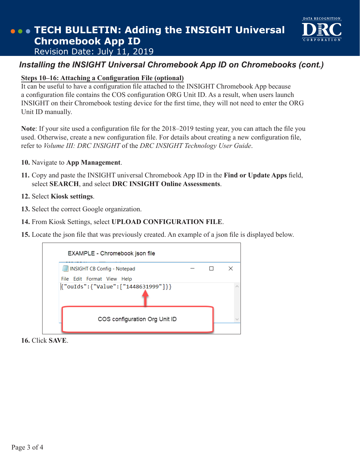### *Installing the INSIGHT Universal Chromebook App ID on Chromebooks (cont.)*

DATA RECOGNITION

#### **Steps 10–16: Attaching a Configuration File (optional)**

It can be useful to have a configuration file attached to the INSIGHT Chromebook App because a configuration file contains the COS configuration ORG Unit ID. As a result, when users launch INSIGHT on their Chromebook testing device for the first time, they will not need to enter the ORG Unit ID manually.

**Note**: If your site used a configuration file for the 2018–2019 testing year, you can attach the file you used. Otherwise, create a new configuration file. For details about creating a new configuration file, refer to *Volume III: DRC INSIGHT* of the *DRC INSIGHT Technology User Guide*.

#### **10.** Navigate to **App Management**.

**11.** Copy and paste the INSIGHT universal Chromebook App ID in the **Find or Update Apps** field, select **SEARCH**, and select **DRC INSIGHT Online Assessments**.

#### **12.** Select **Kiosk settings**.

- **13.** Select the correct Google organization.
- **14.** From Kiosk Settings, select **UPLOAD CONFIGURATION FILE**.
- **15.** Locate the json file that was previously created. An example of a json file is displayed below.

| EXAMPLE - Chromebook json file     |  |          |
|------------------------------------|--|----------|
| INSIGHT CB Config - Notepad        |  | $\times$ |
| File Edit Format View Help         |  |          |
| {"ouIds":{"Value":["1448631999"]}} |  |          |
| COS configuration Org Unit ID      |  |          |
|                                    |  |          |